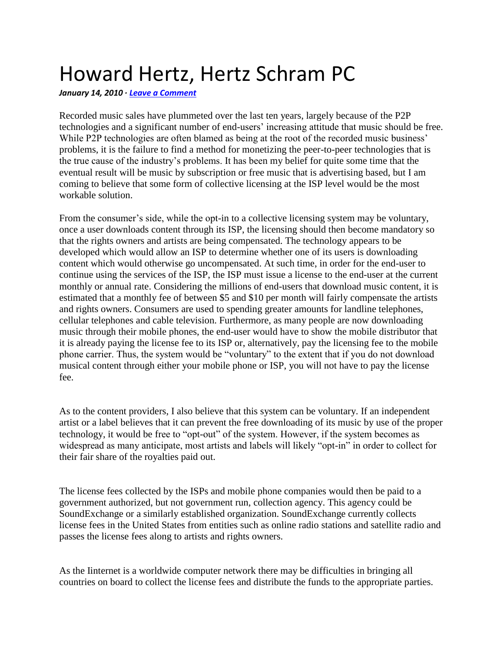## Howard Hertz, Hertz Schram PC

*January 14, 2010 · [Leave a Comment](http://collectiverights.org/2010/01/14/howard-hertz-hertz-schram-pc/#comments)*

Recorded music sales have plummeted over the last ten years, largely because of the P2P technologies and a significant number of end-users' increasing attitude that music should be free. While P2P technologies are often blamed as being at the root of the recorded music business' problems, it is the failure to find a method for monetizing the peer-to-peer technologies that is the true cause of the industry's problems. It has been my belief for quite some time that the eventual result will be music by subscription or free music that is advertising based, but I am coming to believe that some form of collective licensing at the ISP level would be the most workable solution.

From the consumer's side, while the opt-in to a collective licensing system may be voluntary, once a user downloads content through its ISP, the licensing should then become mandatory so that the rights owners and artists are being compensated. The technology appears to be developed which would allow an ISP to determine whether one of its users is downloading content which would otherwise go uncompensated. At such time, in order for the end-user to continue using the services of the ISP, the ISP must issue a license to the end-user at the current monthly or annual rate. Considering the millions of end-users that download music content, it is estimated that a monthly fee of between \$5 and \$10 per month will fairly compensate the artists and rights owners. Consumers are used to spending greater amounts for landline telephones, cellular telephones and cable television. Furthermore, as many people are now downloading music through their mobile phones, the end-user would have to show the mobile distributor that it is already paying the license fee to its ISP or, alternatively, pay the licensing fee to the mobile phone carrier. Thus, the system would be "voluntary" to the extent that if you do not download musical content through either your mobile phone or ISP, you will not have to pay the license fee.

As to the content providers, I also believe that this system can be voluntary. If an independent artist or a label believes that it can prevent the free downloading of its music by use of the proper technology, it would be free to "opt-out" of the system. However, if the system becomes as widespread as many anticipate, most artists and labels will likely "opt-in" in order to collect for their fair share of the royalties paid out.

The license fees collected by the ISPs and mobile phone companies would then be paid to a government authorized, but not government run, collection agency. This agency could be SoundExchange or a similarly established organization. SoundExchange currently collects license fees in the United States from entities such as online radio stations and satellite radio and passes the license fees along to artists and rights owners.

As the Iinternet is a worldwide computer network there may be difficulties in bringing all countries on board to collect the license fees and distribute the funds to the appropriate parties.